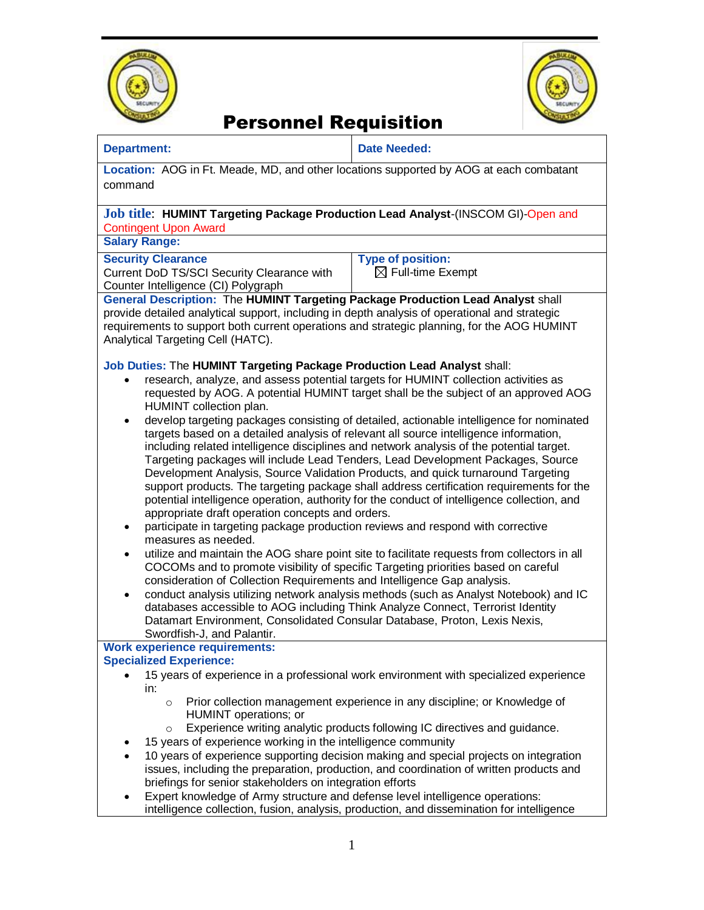



# Personnel Requisition

| <b>Department:</b>                                                                                                                                                                                                                                                                                                                                                                                                                                                                                                                                                                                                                                                                                                                                                                                                                                                                                                                                                                                                                                                                                                                                                                                                                                                                                                                                                                                                                                                                                                                                                                                                                                 | <b>Date Needed:</b>                                                                                                                                                                                                                                                                                                                         |
|----------------------------------------------------------------------------------------------------------------------------------------------------------------------------------------------------------------------------------------------------------------------------------------------------------------------------------------------------------------------------------------------------------------------------------------------------------------------------------------------------------------------------------------------------------------------------------------------------------------------------------------------------------------------------------------------------------------------------------------------------------------------------------------------------------------------------------------------------------------------------------------------------------------------------------------------------------------------------------------------------------------------------------------------------------------------------------------------------------------------------------------------------------------------------------------------------------------------------------------------------------------------------------------------------------------------------------------------------------------------------------------------------------------------------------------------------------------------------------------------------------------------------------------------------------------------------------------------------------------------------------------------------|---------------------------------------------------------------------------------------------------------------------------------------------------------------------------------------------------------------------------------------------------------------------------------------------------------------------------------------------|
| Location: AOG in Ft. Meade, MD, and other locations supported by AOG at each combatant<br>command                                                                                                                                                                                                                                                                                                                                                                                                                                                                                                                                                                                                                                                                                                                                                                                                                                                                                                                                                                                                                                                                                                                                                                                                                                                                                                                                                                                                                                                                                                                                                  |                                                                                                                                                                                                                                                                                                                                             |
| Job title: HUMINT Targeting Package Production Lead Analyst-(INSCOM GI)-Open and<br><b>Contingent Upon Award</b>                                                                                                                                                                                                                                                                                                                                                                                                                                                                                                                                                                                                                                                                                                                                                                                                                                                                                                                                                                                                                                                                                                                                                                                                                                                                                                                                                                                                                                                                                                                                   |                                                                                                                                                                                                                                                                                                                                             |
| <b>Salary Range:</b>                                                                                                                                                                                                                                                                                                                                                                                                                                                                                                                                                                                                                                                                                                                                                                                                                                                                                                                                                                                                                                                                                                                                                                                                                                                                                                                                                                                                                                                                                                                                                                                                                               |                                                                                                                                                                                                                                                                                                                                             |
| <b>Security Clearance</b><br>Current DoD TS/SCI Security Clearance with<br>Counter Intelligence (CI) Polygraph                                                                                                                                                                                                                                                                                                                                                                                                                                                                                                                                                                                                                                                                                                                                                                                                                                                                                                                                                                                                                                                                                                                                                                                                                                                                                                                                                                                                                                                                                                                                     | <b>Type of position:</b><br>$\boxtimes$ Full-time Exempt                                                                                                                                                                                                                                                                                    |
| General Description: The HUMINT Targeting Package Production Lead Analyst shall<br>provide detailed analytical support, including in depth analysis of operational and strategic<br>requirements to support both current operations and strategic planning, for the AOG HUMINT<br>Analytical Targeting Cell (HATC).                                                                                                                                                                                                                                                                                                                                                                                                                                                                                                                                                                                                                                                                                                                                                                                                                                                                                                                                                                                                                                                                                                                                                                                                                                                                                                                                |                                                                                                                                                                                                                                                                                                                                             |
| Job Duties: The HUMINT Targeting Package Production Lead Analyst shall:<br>research, analyze, and assess potential targets for HUMINT collection activities as<br>requested by AOG. A potential HUMINT target shall be the subject of an approved AOG<br>HUMINT collection plan.<br>develop targeting packages consisting of detailed, actionable intelligence for nominated<br>targets based on a detailed analysis of relevant all source intelligence information,<br>including related intelligence disciplines and network analysis of the potential target.<br>Targeting packages will include Lead Tenders, Lead Development Packages, Source<br>Development Analysis, Source Validation Products, and quick turnaround Targeting<br>support products. The targeting package shall address certification requirements for the<br>potential intelligence operation, authority for the conduct of intelligence collection, and<br>appropriate draft operation concepts and orders.<br>participate in targeting package production reviews and respond with corrective<br>٠<br>measures as needed.<br>utilize and maintain the AOG share point site to facilitate requests from collectors in all<br>٠<br>COCOMs and to promote visibility of specific Targeting priorities based on careful<br>consideration of Collection Requirements and Intelligence Gap analysis.<br>conduct analysis utilizing network analysis methods (such as Analyst Notebook) and IC<br>$\bullet$<br>databases accessible to AOG including Think Analyze Connect, Terrorist Identity<br>Datamart Environment, Consolidated Consular Database, Proton, Lexis Nexis, |                                                                                                                                                                                                                                                                                                                                             |
| Swordfish-J, and Palantir.<br><b>Work experience requirements:</b>                                                                                                                                                                                                                                                                                                                                                                                                                                                                                                                                                                                                                                                                                                                                                                                                                                                                                                                                                                                                                                                                                                                                                                                                                                                                                                                                                                                                                                                                                                                                                                                 |                                                                                                                                                                                                                                                                                                                                             |
| <b>Specialized Experience:</b><br>15 years of experience in a professional work environment with specialized experience<br>in:                                                                                                                                                                                                                                                                                                                                                                                                                                                                                                                                                                                                                                                                                                                                                                                                                                                                                                                                                                                                                                                                                                                                                                                                                                                                                                                                                                                                                                                                                                                     |                                                                                                                                                                                                                                                                                                                                             |
| $\circ$<br><b>HUMINT</b> operations; or<br>$\circ$<br>15 years of experience working in the intelligence community<br>$\bullet$<br>briefings for senior stakeholders on integration efforts<br>Expert knowledge of Army structure and defense level intelligence operations:                                                                                                                                                                                                                                                                                                                                                                                                                                                                                                                                                                                                                                                                                                                                                                                                                                                                                                                                                                                                                                                                                                                                                                                                                                                                                                                                                                       | Prior collection management experience in any discipline; or Knowledge of<br>Experience writing analytic products following IC directives and guidance.<br>10 years of experience supporting decision making and special projects on integration<br>issues, including the preparation, production, and coordination of written products and |

intelligence collection, fusion, analysis, production, and dissemination for intelligence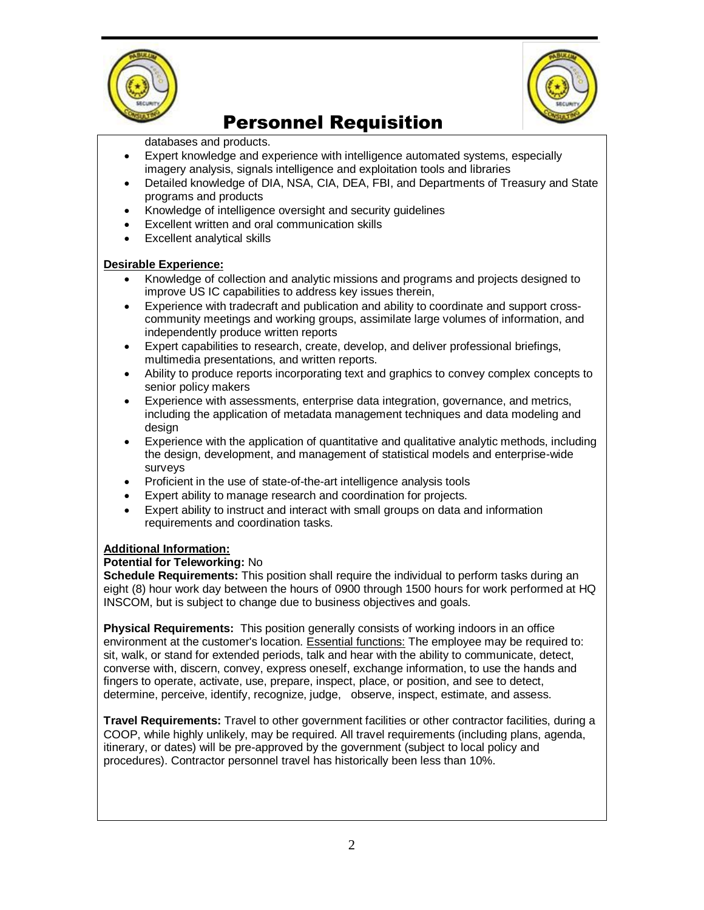



### Personnel Requisition

databases and products.

- Expert knowledge and experience with intelligence automated systems, especially imagery analysis, signals intelligence and exploitation tools and libraries
- Detailed knowledge of DIA, NSA, CIA, DEA, FBI, and Departments of Treasury and State programs and products
- Knowledge of intelligence oversight and security guidelines
- Excellent written and oral communication skills
- Excellent analytical skills

#### **Desirable Experience:**

- Knowledge of collection and analytic missions and programs and projects designed to improve US IC capabilities to address key issues therein,
- Experience with tradecraft and publication and ability to coordinate and support crosscommunity meetings and working groups, assimilate large volumes of information, and independently produce written reports
- Expert capabilities to research, create, develop, and deliver professional briefings, multimedia presentations, and written reports.
- Ability to produce reports incorporating text and graphics to convey complex concepts to senior policy makers
- Experience with assessments, enterprise data integration, governance, and metrics, including the application of metadata management techniques and data modeling and design
- Experience with the application of quantitative and qualitative analytic methods, including the design, development, and management of statistical models and enterprise-wide surveys
- Proficient in the use of state-of-the-art intelligence analysis tools
- Expert ability to manage research and coordination for projects.
- Expert ability to instruct and interact with small groups on data and information requirements and coordination tasks.

### **Additional Information:**

#### **Potential for Teleworking:** No

**Schedule Requirements:** This position shall require the individual to perform tasks during an eight (8) hour work day between the hours of 0900 through 1500 hours for work performed at HQ INSCOM, but is subject to change due to business objectives and goals.

**Physical Requirements:** This position generally consists of working indoors in an office environment at the customer's location. Essential functions: The employee may be required to: sit, walk, or stand for extended periods, talk and hear with the ability to communicate, detect, converse with, discern, convey, express oneself, exchange information, to use the hands and fingers to operate, activate, use, prepare, inspect, place, or position, and see to detect, determine, perceive, identify, recognize, judge, observe, inspect, estimate, and assess.

**Travel Requirements:** Travel to other government facilities or other contractor facilities, during a COOP, while highly unlikely, may be required. All travel requirements (including plans, agenda, itinerary, or dates) will be pre-approved by the government (subject to local policy and procedures). Contractor personnel travel has historically been less than 10%.